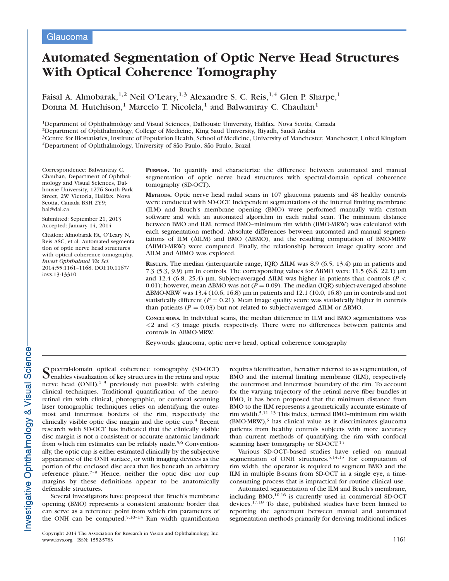# Automated Segmentation of Optic Nerve Head Structures With Optical Coherence Tomography

Faisal A. Almobarak,<sup>1,2</sup> Neil O'Leary,<sup>1,3</sup> Alexandre S. C. Reis,<sup>1,4</sup> Glen P. Sharpe,<sup>1</sup> Donna M. Hutchison,<sup>1</sup> Marcelo T. Nicolela,<sup>1</sup> and Balwantray C. Chauhan<sup>1</sup>

1Department of Ophthalmology and Visual Sciences, Dalhousie University, Halifax, Nova Scotia, Canada

2Department of Ophthalmology, College of Medicine, King Saud University, Riyadh, Saudi Arabia

<sup>3</sup>Centre for Biostatistics, Institute of Population Health, School of Medicine, University of Manchester, Manchester, United Kingdom <sup>4</sup>Department of Ophthalmology, University of São Paulo, São Paulo, Brazil

Correspondence: Balwantray C. Chauhan, Department of Ophthalmology and Visual Sciences, Dalhousie University, 1276 South Park Street, 2W Victoria, Halifax, Nova Scotia, Canada B3H 2Y9; bal@dal.ca.

Submitted: September 21, 2013 Accepted: January 14, 2014

Citation: Almobarak FA, O'Leary N, Reis ASC, et al. Automated segmentation of optic nerve head structures with optical coherence tomography. Invest Ophthalmol Vis Sci. 2014;55:1161–1168. DOI:10.1167/ iovs.13-13310

PURPOSE. To quantify and characterize the difference between automated and manual segmentation of optic nerve head structures with spectral-domain optical coherence tomography (SD-OCT).

METHODS. Optic nerve head radial scans in 107 glaucoma patients and 48 healthy controls were conducted with SD-OCT. Independent segmentations of the internal limiting membrane (ILM) and Bruch's membrane opening (BMO) were performed manually with custom software and with an automated algorithm in each radial scan. The minimum distance between BMO and ILM, termed BMO–minimum rim width (BMO-MRW) was calculated with each segmentation method. Absolute differences between automated and manual segmentations of ILM  $(\Delta ILM)$  and BMO  $(\Delta BMO)$ , and the resulting computation of BMO-MRW (DBMO-MRW) were computed. Finally, the relationship between image quality score and  $\Delta$ ILM and  $\Delta$ BMO was explored.

**RESULTS.** The median (interquartile range, IQR)  $\Delta$ ILM was 8.9 (6.5, 13.4) µm in patients and 7.3 (5.3, 9.9)  $\mu$ m in controls. The corresponding values for  $\Delta$ BMO were 11.5 (6.6, 22.1)  $\mu$ m and 12.4 (6.8, 25.4)  $\mu$ m. Subject-averaged  $\Delta$ ILM was higher in patients than controls (P < 0.01); however, mean  $\triangle BMO$  was not ( $P = 0.09$ ). The median (IQR) subject-averaged absolute  $\Delta$ BMO-MRW was 13.4 (10.6, 16.8)  $\mu$ m in patients and 12.1 (10.0, 16.8)  $\mu$ m in controls and not statistically different ( $P = 0.21$ ). Mean image quality score was statistically higher in controls than patients ( $P = 0.03$ ) but not related to subject-averaged  $\Delta ILM$  or  $\Delta BMO$ .

CONCLUSIONS. In individual scans, the median difference in ILM and BMO segmentations was <2 and <3 image pixels, respectively. There were no differences between patients and controls in  $\triangle BMO-MRW$ .

Keywords: glaucoma, optic nerve head, optical coherence tomography

Spectral-domain optical coherence tomography (SD-OCT)<br>Senables visualization of key structures in the retina and optic nerve head  $(ONH)$ ,<sup>1-3</sup> previously not possible with existing clinical techniques. Traditional quantification of the neuroretinal rim with clinical, photographic, or confocal scanning laser tomographic techniques relies on identifying the outermost and innermost borders of the rim, respectively the clinically visible optic disc margin and the optic  $cup<sup>4</sup>$  Recent research with SD-OCT has indicated that the clinically visible disc margin is not a consistent or accurate anatomic landmark from which rim estimates can be reliably made.<sup>5,6</sup> Conventionally, the optic cup is either estimated clinically by the subjective appearance of the ONH surface, or with imaging devices as the portion of the enclosed disc area that lies beneath an arbitrary reference plane.7–9 Hence, neither the optic disc nor cup margins by these definitions appear to be anatomically defensible structures.

Several investigators have proposed that Bruch's membrane opening (BMO) represents a consistent anatomic border that can serve as a reference point from which rim parameters of the ONH can be computed.<sup>5,10-13</sup> Rim width quantification

Copyright 2014 The Association for Research in Vision and Ophthalmology, Inc. www.iovs.org | ISSN: 1552-5783 1161

requires identification, hereafter referred to as segmentation, of BMO and the internal limiting membrane (ILM), respectively the outermost and innermost boundary of the rim. To account for the varying trajectory of the retinal nerve fiber bundles at BMO, it has been proposed that the minimum distance from BMO to the ILM represents a geometrically accurate estimate of rim width.5,11–13 This index, termed BMO–minimum rim width  $(BMO-MRW)$ ,<sup>5</sup> has clinical value as it discriminates glaucoma patients from healthy controls subjects with more accuracy than current methods of quantifying the rim with confocal scanning laser tomography or SD-OCT.14

Various SD-OCT–based studies have relied on manual segmentation of ONH structures.5,14,15 For computation of rim width, the operator is required to segment BMO and the ILM in multiple B-scans from SD-OCT in a single eye, a timeconsuming process that is impractical for routine clinical use.

Automated segmentation of the ILM and Bruch's membrane, including BMO,<sup>10,16</sup> is currently used in commercial SD-OCT devices.<sup>17,18</sup> To date, published studies have been limited to reporting the agreement between manual and automated segmentation methods primarily for deriving traditional indices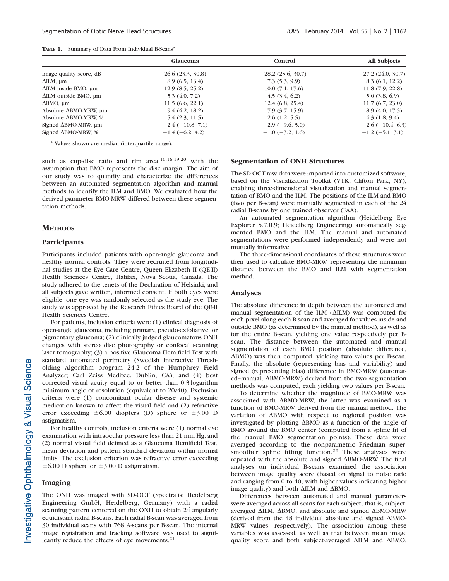| <b>TABLE 1.</b> |  |  |  | Summary of Data From Individual B-Scans* |  |
|-----------------|--|--|--|------------------------------------------|--|
|-----------------|--|--|--|------------------------------------------|--|

|                                      | Glaucoma                | Control                | <b>All Subjects</b>     |
|--------------------------------------|-------------------------|------------------------|-------------------------|
| Image quality score, dB              | 26.6(23.3, 30.8)        | 28.2 (25.6, 30.7)      | 27.2(24.0, 30.7)        |
| $\Delta ILM$ , $\mu m$               | 8.9(6.5, 13.4)          | 7.3(5.3, 9.9)          | 8.3(6.1, 12.2)          |
| ΔILM inside BMO, μm                  | 12.9(8.5, 25.2)         | 10.0(7.1, 17.6)        | 11.8(7.9, 22.8)         |
| ΔILM outside BMO, μm                 | 5.3(4.0, 7.2)           | 4.5(3.4, 6.2)          | $5.0$ $(3.8, 6.9)$      |
| $\Delta$ BMO, $\mu$ m                | 11.5(6.6, 22.1)         | 12.4(6.8, 25.4)        | 11.7(6.7, 23.0)         |
| Absolute ABMO-MRW, µm                | 9.4(4.2, 18.2)          | 7.9(3.7, 15.9)         | 8.9(4.0, 17.5)          |
| Absolute $\triangle BMO-MRW$ , %     | 5.4(2.3, 11.5)          | 2.6(1.2, 5.5)          | 4.3(1.8, 9.4)           |
| Signed $\triangle BMO-MRW$ , $\mu$ m | $-2.4$ ( $-10.8$ , 7.1) | $-2.9$ ( $-9.6$ , 5.0) | $-2.6$ ( $-10.4$ , 6.3) |
| Signed $\triangle BMO-MRW$ , %       | $-1.4(-6.2, 4.2)$       | $-1.0$ ( $-3.2$ , 1.6) | $-1.2$ (-5.1, 3.1)      |

\* Values shown are median (interquartile range).

such as cup-disc ratio and rim area,<sup>10,16,19,20</sup> with the assumption that BMO represents the disc margin. The aim of our study was to quantify and characterize the differences between an automated segmentation algorithm and manual methods to identify the ILM and BMO. We evaluated how the derived parameter BMO-MRW differed between these segmentation methods.

## **METHODS**

### Participants

Participants included patients with open-angle glaucoma and healthy normal controls. They were recruited from longitudinal studies at the Eye Care Centre, Queen Elizabeth II (QE-II) Health Sciences Centre, Halifax, Nova Scotia, Canada. The study adhered to the tenets of the Declaration of Helsinki, and all subjects gave written, informed consent. If both eyes were eligible, one eye was randomly selected as the study eye. The study was approved by the Research Ethics Board of the QE-II Health Sciences Centre.

For patients, inclusion criteria were (1) clinical diagnosis of open-angle glaucoma, including primary, pseudo-exfoliative, or pigmentary glaucoma; (2) clinically judged glaucomatous ONH changes with stereo disc photography or confocal scanning laser tomography; (3) a positive Glaucoma Hemifield Test with standard automated perimetry (Swedish Interactive Thresholding Algorithm program 24-2 of the Humphrey Field Analyzer; Carl Zeiss Meditec, Dublin, CA); and (4) best corrected visual acuity equal to or better than 0.3-logarithm minimum angle of resolution (equivalent to 20/40). Exclusion criteria were (1) concomitant ocular disease and systemic medication known to affect the visual field and (2) refractive error exceeding  $\pm 6.00$  diopters (D) sphere or  $\pm 3.00$  D astigmatism.

For healthy controls, inclusion criteria were (1) normal eye examination with intraocular pressure less than 21 mm Hg; and (2) normal visual field defined as a Glaucoma Hemifield Test, mean deviation and pattern standard deviation within normal limits. The exclusion criterion was refractive error exceeding  $\pm 6.00$  D sphere or  $\pm 3.00$  D astigmatism.

# Imaging

The ONH was imaged with SD-OCT (Spectralis; Heidelberg Engineering GmbH, Heidelberg, Germany) with a radial scanning pattern centered on the ONH to obtain 24 angularly equidistant radial B-scans. Each radial B-scan was averaged from 30 individual scans with 768 A-scans per B-scan. The internal image registration and tracking software was used to significantly reduce the effects of eye movements.<sup>21</sup>

### Segmentation of ONH Structures

The SD-OCT raw data were imported into customized software, based on the Visualization Toolkit (VTK, Clifton Park, NY), enabling three-dimensional visualization and manual segmentation of BMO and the ILM. The positions of the ILM and BMO (two per B-scan) were manually segmented in each of the 24 radial B-scans by one trained observer (FAA).

An automated segmentation algorithm (Heidelberg Eye Explorer 5.7.0.9; Heidelberg Engineering) automatically segmented BMO and the ILM. The manual and automated segmentations were performed independently and were not mutually informative.

The three-dimensional coordinates of these structures were then used to calculate BMO-MRW, representing the minimum distance between the BMO and ILM with segmentation method.

# Analyses

The absolute difference in depth between the automated and manual segmentation of the ILM  $(\Delta ILM)$  was computed for each pixel along each B-scan and averaged for values inside and outside BMO (as determined by the manual method), as well as for the entire B-scan, yielding one value respectively per Bscan. The distance between the automated and manual segmentation of each BMO position (absolute difference,  $\Delta$ BMO) was then computed, yielding two values per B-scan. Finally, the absolute (representing bias and variability) and signed (representing bias) difference in BMO-MRW (automated-manual,  $\Delta$ BMO-MRW) derived from the two segmentation methods was computed, each yielding two values per B-scan.

To determine whether the magnitude of BMO-MRW was associated with ABMO-MRW, the latter was examined as a function of BMO-MRW derived from the manual method. The variation of  $\triangle BMO$  with respect to regional position was investigated by plotting  $\triangle BMO$  as a function of the angle of BMO around the BMO center (computed from a spline fit of the manual BMO segmentation points). These data were averaged according to the nonparametric Friedman supersmoother spline fitting function.<sup>22</sup> These analyses were repeated with the absolute and signed  $\triangle BMO-MRW$ . The final analyses on individual B-scans examined the association between image quality score (based on signal to noise ratio and ranging from 0 to 40, with higher values indicating higher image quality) and both  $\Delta ILM$  and  $\Delta BMO$ .

Differences between automated and manual parameters were averaged across all scans for each subject, that is, subjectaveraged  $\Delta ILM$ ,  $\Delta BMO$ , and absolute and signed  $\Delta BMO-MRW$ (derived from the 48 individual absolute and signed  $\triangle BMO-$ MRW values, respectively). The association among these variables was assessed, as well as that between mean image quality score and both subject-averaged  $\Delta$ ILM and  $\Delta$ BMO.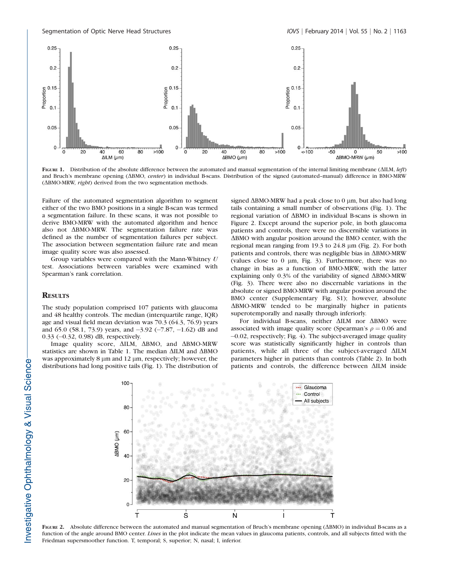

FIGURE 1. Distribution of the absolute difference between the automated and manual segmentation of the internal limiting membrane ( $\Delta$ ILM, left) and Bruch's membrane opening ( $\Delta BMO$ , center) in individual B-scans. Distribution of the signed (automated-manual) difference in BMO-MRW  $(\Delta BMO-MRW, right)$  derived from the two segmentation methods.

Failure of the automated segmentation algorithm to segment either of the two BMO positions in a single B-scan was termed a segmentation failure. In these scans, it was not possible to derive BMO-MRW with the automated algorithm and hence also not  $\Delta$ BMO-MRW. The segmentation failure rate was defined as the number of segmentation failures per subject. The association between segmentation failure rate and mean image quality score was also assessed.

Group variables were compared with the Mann-Whitney U test. Associations between variables were examined with Spearman's rank correlation.

# **RESULTS**

The study population comprised 107 patients with glaucoma and 48 healthy controls. The median (interquartile range, IQR) age and visual field mean deviation was 70.3 (64.3, 76.9) years and  $(5.0 \ (58.1, 73.9)$  years, and  $-3.92 \ (-7.87, -1.62)$  dB and 0.33 (-0.32, 0.98) dB, respectively.

Image quality score,  $\Delta ILM$ ,  $\Delta BMO$ , and  $\Delta BMO-MRW$ statistics are shown in Table 1. The median  $\Delta ILM$  and  $\Delta BMO$ was approximately  $8 \mu m$  and  $12 \mu m$ , respectively; however, the distributions had long positive tails (Fig. 1). The distribution of signed  $\triangle BMO-MRW$  had a peak close to 0  $\mu$ m, but also had long tails containing a small number of observations (Fig. 1). The regional variation of DBMO in individual B-scans is shown in Figure 2. Except around the superior pole, in both glaucoma patients and controls, there were no discernible variations in  $\Delta$ BMO with angular position around the BMO center, with the regional mean ranging from 19.3 to 24.8 lm (Fig. 2). For both patients and controls, there was negligible bias in  $\Delta$ BMO-MRW (values close to  $0 \mu m$ , Fig. 3). Furthermore, there was no change in bias as a function of BMO-MRW, with the latter explaining only 0.3% of the variability of signed  $\triangle BMO-MRW$ (Fig. 3). There were also no discernable variations in the absolute or signed BMO-MRW with angular position around the BMO center ([Supplementary Fig. S1](http://www.iovs.org/content/55/2/1161/suppl/DC1)); however, absolute  $\Delta$ BMO-MRW tended to be marginally higher in patients superotemporally and nasally through inferiorly.

For individual B-scans, neither  $\Delta ILM$  nor  $\Delta BMO$  were associated with image quality score (Spearman's  $\rho = 0.06$  and -0.02, respectively; Fig. 4). The subject-averaged image quality score was statistically significantly higher in controls than patients, while all three of the subject-averaged  $\Delta$ ILM parameters higher in patients than controls (Table 2). In both patients and controls, the difference between  $\Delta$ ILM inside



FIGURE 2. Absolute difference between the automated and manual segmentation of Bruch's membrane opening (ABMO) in individual B-scans as a function of the angle around BMO center. Lines in the plot indicate the mean values in glaucoma patients, controls, and all subjects fitted with the Friedman supersmoother function. T, temporal; S, superior; N, nasal; I, inferior.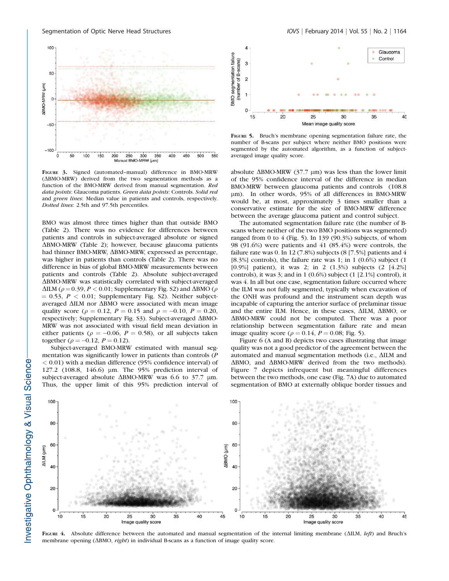FIGURE 3. Signed (automated–manual) difference in BMO-MRW  $(\Delta BMO-MRW)$  derived from the two segmentation methods as a function of the BMO-MRW derived from manual segmentation. Red data points: Glaucoma patients. Green data points: Controls. Solid red and green lines: Median value in patients and controls, respectively. Dotted lines: 2.5th and 97.5th percentiles.

BMO was almost three times higher than that outside BMO (Table 2). There was no evidence for differences between patients and controls in subject-averaged absolute or signed ABMO-MRW (Table 2); however, because glaucoma patients had thinner BMO-MRW,  $\triangle BMO-MRW$ , expressed as percentage, was higher in patients than controls (Table 2). There was no difference in bias of global BMO-MRW measurements between patients and controls (Table 2). Absolute subject-averaged ABMO-MRW was statistically correlated with subject-averaged  $\Delta$ ILM ( $\rho$  = 0.39, P < 0.01; [Supplementary Fig. S2](http://www.iovs.org/content/55/2/1161/suppl/DC1)) and  $\Delta$ BMO ( $\rho$  $= 0.53$ ,  $P < 0.01$ ; [Supplementary Fig. S2](http://www.iovs.org/content/55/2/1161/suppl/DC1)). Neither subjectaveraged  $\Delta$ ILM nor  $\Delta$ BMO were associated with mean image quality score ( $\rho = 0.12$ ,  $P = 0.15$  and  $\rho = -0.10$ ,  $P = 0.20$ , respectively; [Supplementary Fig. S3\)](http://www.iovs.org/content/55/2/1161/suppl/DC1). Subject-averaged  $\Delta$ BMO-MRW was not associated with visual field mean deviation in either patients ( $\rho = -0.06$ ,  $P = 0.58$ ), or all subjects taken together ( $\rho = -0.12$ ,  $P = 0.12$ ).

Subject-averaged BMO-MRW estimated with manual segmentation was significantly lower in patients than controls (P < 0.01) with a median difference (95% confidence interval) of 127.2 (108.8, 146.6) lm. The 95% prediction interval of subject-averaged absolute  $\Delta$ BMO-MRW was 6.6 to 37.7 µm. Thus, the upper limit of this 95% prediction interval of

failure rate was 0. In 12 (7.8%) subjects (8 [7.5%] patients and 4 [8.3%] controls), the failure rate was 1; in  $1$  (0.6%) subject (1 [0.9%] patient), it was 2; in 2 (1.3%) subjects (2 [4.2%] controls), it was 3; and in 1 (0.6%) subject (1 [2.1%] control), it was 4. In all but one case, segmentation failure occurred where the ILM was not fully segmented, typically when excavation of the ONH was profound and the instrument scan depth was incapable of capturing the anterior surface of prelaminar tissue and the entire ILM. Hence, in these cases,  $\Delta$ ILM,  $\Delta$ BMO, or ABMO-MRW could not be computed. There was a poor relationship between segmentation failure rate and mean image quality score ( $\rho = 0.14$ ,  $P = 0.08$ ; Fig. 5).

Figure 6 (A and B) depicts two cases illustrating that image quality was not a good predictor of the agreement between the automated and manual segmentation methods (i.e.,  $\Delta$ ILM and  $\Delta$ BMO, and  $\Delta$ BMO-MRW derived from the two methods). Figure 7 depicts infrequent but meaningful differences between the two methods, one case (Fig. 7A) due to automated segmentation of BMO at externally oblique border tissues and



Glaucoma

Control

 $\overline{A}$ 

3

 $\overline{c}$ 





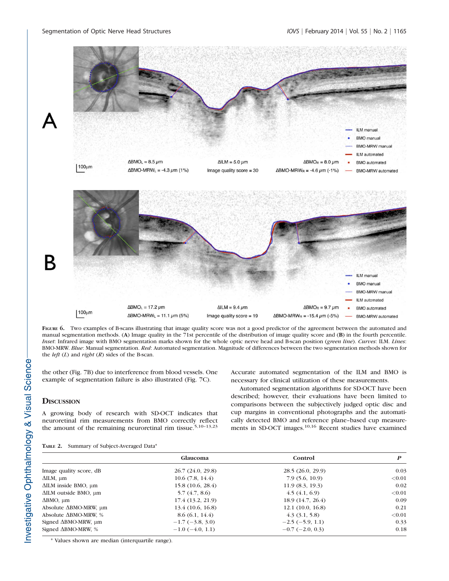

FIGURE 6. Two examples of B-scans illustrating that image quality score was not a good predictor of the agreement between the automated and manual segmentation methods. (A) Image quality in the 71st percentile of the distribution of image quality score and (B) in the fourth percentile. Inset: Infrared image with BMO segmentation marks shown for the whole optic nerve head and B-scan position (green line). Curves: ILM. Lines: BMO-MRW. Blue: Manual segmentation. Red: Automated segmentation. Magnitude of differences between the two segmentation methods shown for the *left*  $(L)$  and *right*  $(R)$  sides of the B-scan.

the other (Fig. 7B) due to interference from blood vessels. One example of segmentation failure is also illustrated (Fig. 7C).

# **DISCUSSION**

Δ

B

A growing body of research with SD-OCT indicates that neuroretinal rim measurements from BMO correctly reflect the amount of the remaining neuroretinal rim tissue.<sup>5,10-13,23</sup>

Accurate automated segmentation of the ILM and BMO is necessary for clinical utilization of these measurements.

Automated segmentation algorithms for SD-OCT have been described; however, their evaluations have been limited to comparisons between the subjectively judged optic disc and cup margins in conventional photographs and the automatically detected BMO and reference plane–based cup measurements in SD-OCT images.10,16 Recent studies have examined

#### TABLE 2. Summary of Subject-Averaged Data\*

|                         | Glaucoma               | Control                | P         |
|-------------------------|------------------------|------------------------|-----------|
| Image quality score, dB | 26.7(24.0, 29.8)       | 28.5 (26.0, 29.9)      | 0.03      |
| ΔILM, μm                | 10.6(7.8, 14.4)        | 7.9(5.6, 10.9)         | < 0.01    |
| ΔILM inside BMO, μm     | 15.8(10.6, 28.4)       | 11.9(8.3, 19.3)        | 0.02      |
| ΔILM outside BMO, μm    | 5.7(4.7, 8.6)          | 4.5(4.1, 6.9)          | < 0.01    |
| $\Delta$ BMO, $\mu$ m   | 17.4(13.2, 21.9)       | 18.9 (14.7, 26.4)      | 0.09      |
| Absolute ABMO-MRW, µm   | 13.4 (10.6, 16.8)      | 12.1(10.0, 16.8)       | 0.21      |
| Absolute ∆BMO-MRW, %    | 8.6(6.1, 14.4)         | 4.3(3.1, 5.8)          | ${<}0.01$ |
| Signed ABMO-MRW, µm     | $-1.7(-3.8, 3.0)$      | $-2.5$ ( $-5.9$ , 1.1) | 0.33      |
| Signed ABMO-MRW, %      | $-1.0$ ( $-4.0$ , 1.1) | $-0.7$ ( $-2.0, 0.3$ ) | 0.18      |
|                         |                        |                        |           |

\* Values shown are median (interquartile range).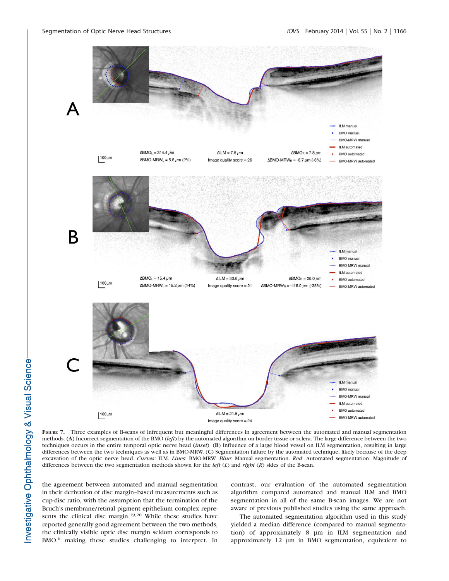

FIGURE 7. Three examples of B-scans of infrequent but meaningful differences in agreement between the automated and manual segmentation methods. (A) Incorrect segmentation of the BMO (left) by the automated algorithm on border tissue or sclera. The large difference between the two techniques occurs in the entire temporal optic nerve head (*inset*). (B) Influence of a large blood vessel on ILM segmentation, resulting in large differences between the two techniques as well as in BMO-MRW. (C) Segmentation failure by the automated technique, likely because of the deep excavation of the optic nerve head. Curves: ILM. Lines: BMO-MRW. Blue: Manual segmentation. Red: Automated segmentation. Magnitude of differences between the two segmentation methods shown for the *left* ( $L$ ) and *right* ( $R$ ) sides of the B-scan.

the agreement between automated and manual segmentation in their derivation of disc margin–based measurements such as cup-disc ratio, with the assumption that the termination of the Bruch's membrane/retinal pigment epithelium complex represents the clinical disc margin.<sup>19,20</sup> While these studies have reported generally good agreement between the two methods, the clinically visible optic disc margin seldom corresponds to BMO,<sup>6</sup> making these studies challenging to interpret. In contrast, our evaluation of the automated segmentation algorithm compared automated and manual ILM and BMO segmentation in all of the same B-scan images. We are not aware of previous published studies using the same approach.

The automated segmentation algorithm used in this study yielded a median difference (compared to manual segmentation) of approximately 8  $\mu$ m in ILM segmentation and approximately 12 µm in BMO segmentation, equivalent to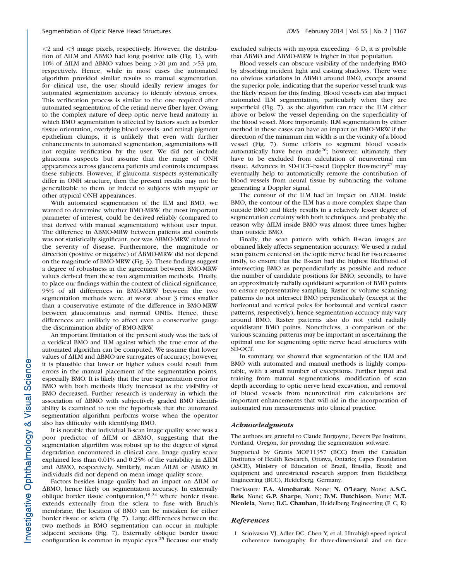$<$  2 and  $<$  3 image pixels, respectively. However, the distribution of  $\Delta$ ILM and  $\Delta$ BMO had long positive tails (Fig. 1), with 10% of  $\Delta$ ILM and  $\Delta$ BMO values being >20 µm and >53 µm, respectively. Hence, while in most cases the automated algorithm provided similar results to manual segmentation, for clinical use, the user should ideally review images for automated segmentation accuracy to identify obvious errors. This verification process is similar to the one required after automated segmentation of the retinal nerve fiber layer. Owing to the complex nature of deep optic nerve head anatomy in which BMO segmentation is affected by factors such as border tissue orientation, overlying blood vessels, and retinal pigment epithelium clumps, it is unlikely that even with further enhancements in automated segmentation, segmentations will not require verification by the user. We did not include glaucoma suspects but assume that the range of ONH appearances across glaucoma patients and controls encompass these subjects. However, if glaucoma suspects systematically differ in ONH structure, then the present results may not be generalizable to them, or indeed to subjects with myopic or other atypical ONH appearances.

With automated segmentation of the ILM and BMO, we wanted to determine whether BMO-MRW, the most important parameter of interest, could be derived reliably (compared to that derived with manual segmentation) without user input. The difference in  $\triangle BMO-MRW$  between patients and controls was not statistically significant, nor was  $\Delta$ BMO-MRW related to the severity of disease. Furthermore, the magnitude or direction (positive or negative) of  $\triangle BMO-MRW$  did not depend on the magnitude of BMO-MRW (Fig. 3). These findings suggest a degree of robustness in the agreement between BMO-MRW values derived from these two segmentation methods. Finally, to place our findings within the context of clinical significance, 95% of all differences in BMO-MRW between the two segmentation methods were, at worst, about 3 times smaller than a conservative estimate of the difference in BMO-MRW between glaucomatous and normal ONHs. Hence, these differences are unlikely to affect even a conservative gauge the discrimination ability of BMO-MRW.

An important limitation of the present study was the lack of a veridical BMO and ILM against which the true error of the automated algorithm can be computed. We assume that lower values of  $\Delta$ ILM and  $\Delta$ BMO are surrogates of accuracy; however, it is plausible that lower or higher values could result from errors in the manual placement of the segmentation points, especially BMO. It is likely that the true segmentation error for BMO with both methods likely increased as the visibility of BMO decreased. Further research is underway in which the association of  $\Delta$ BMO with subjectively graded BMO identifiability is examined to test the hypothesis that the automated segmentation algorithm performs worse when the operator also has difficulty with identifying BMO.

It is notable that individual B-scan image quality score was a poor predictor of  $\Delta$ ILM or  $\Delta$ BMO, suggesting that the segmentation algorithm was robust up to the degree of signal degradation encountered in clinical care. Image quality score explained less than 0.01% and 0.25% of the variability in  $\Delta$ ILM and  $\triangle BMO$ , respectively. Similarly, mean  $\triangle ILM$  or  $\triangle BMO$  in individuals did not depend on mean image quality score.

Factors besides image quality had an impact on  $\triangle$ ILM or  $\Delta$ BMO, hence likely on segmentation accuracy. In externally oblique border tissue configuration,15,24 where border tissue extends externally from the sclera to fuse with Bruch's membrane, the location of BMO can be mistaken for either border tissue or sclera (Fig. 7). Large differences between the two methods in BMO segmentation can occur in multiple adjacent sections (Fig. 7). Externally oblique border tissue configuration is common in myopic eyes.<sup>25</sup> Because our study

excluded subjects with myopia exceeding -6 D, it is probable that  $\Delta$ BMO and  $\Delta$ BMO-MRW is higher in that population.

Blood vessels can obscure visibility of the underlying BMO by absorbing incident light and casting shadows. There were no obvious variations in DBMO around BMO, except around the superior pole, indicating that the superior vessel trunk was the likely reason for this finding. Blood vessels can also impact automated ILM segmentation, particularly when they are superficial (Fig. 7), as the algorithm can trace the ILM either above or below the vessel depending on the superficiality of the blood vessel. More importantly, ILM segmentation by either method in these cases can have an impact on BMO-MRW if the direction of the minimum rim width is in the vicinity of a blood vessel (Fig. 7). Some efforts to segment blood vessels automatically have been made<sup>26</sup>; however, ultimately, they have to be excluded from calculation of neuroretinal rim tissue. Advances in SD-OCT-based Doppler flowmetry<sup>27</sup> may eventually help to automatically remove the contribution of blood vessels from neural tissue by subtracting the volume generating a Doppler signal.

The contour of the ILM had an impact on  $\triangle$ ILM. Inside BMO, the contour of the ILM has a more complex shape than outside BMO and likely results in a relatively lesser degree of segmentation certainty with both techniques, and probably the reason why  $\Delta$ ILM inside BMO was almost three times higher than outside BMO.

Finally, the scan pattern with which B-scan images are obtained likely affects segmentation accuracy. We used a radial scan pattern centered on the optic nerve head for two reasons: firstly, to ensure that the B-scan had the highest likelihood of intersecting BMO as perpendicularly as possible and reduce the number of candidate positions for BMO; secondly, to have an approximately radially equidistant separation of BMO points to ensure representative sampling. Raster or volume scanning patterns do not intersect BMO perpendicularly (except at the horizontal and vertical poles for horizontal and vertical raster patterns, respectively), hence segmentation accuracy may vary around BMO. Raster patterns also do not yield radially equidistant BMO points. Nonetheless, a comparison of the various scanning patterns may be important in ascertaining the optimal one for segmenting optic nerve head structures with SD-OCT.

In summary, we showed that segmentation of the ILM and BMO with automated and manual methods is highly comparable, with a small number of exceptions. Further input and training from manual segmentations, modification of scan depth according to optic nerve head excavation, and removal of blood vessels from neuroretinal rim calculations are important enhancements that will aid in the incorporation of automated rim measurements into clinical practice.

## Acknowledgments

The authors are grateful to Claude Burgoyne, Devers Eye Institute, Portland, Oregon, for providing the segmentation software.

Supported by Grants MOP11357 (BCC) from the Canadian Institutes of Health Research, Ottawa, Ontario; Capes Foundation (ASCR), Ministry of Education of Brazil, Brasilia, Brazil; and equipment and unrestricted research support from Heidelberg Engineering (BCC), Heidelberg, Germany.

Disclosure: F.A. Almobarak, None; N. O'Leary, None; A.S.C. Reis, None; G.P. Sharpe, None; D.M. Hutchison, None; M.T. Nicolela, None; B.C. Chauhan, Heidelberg Engineering (F, C, R)

# **References**

1. Srinivasan VJ, Adler DC, Chen Y, et al. Ultrahigh-speed optical coherence tomography for three-dimensional and en face